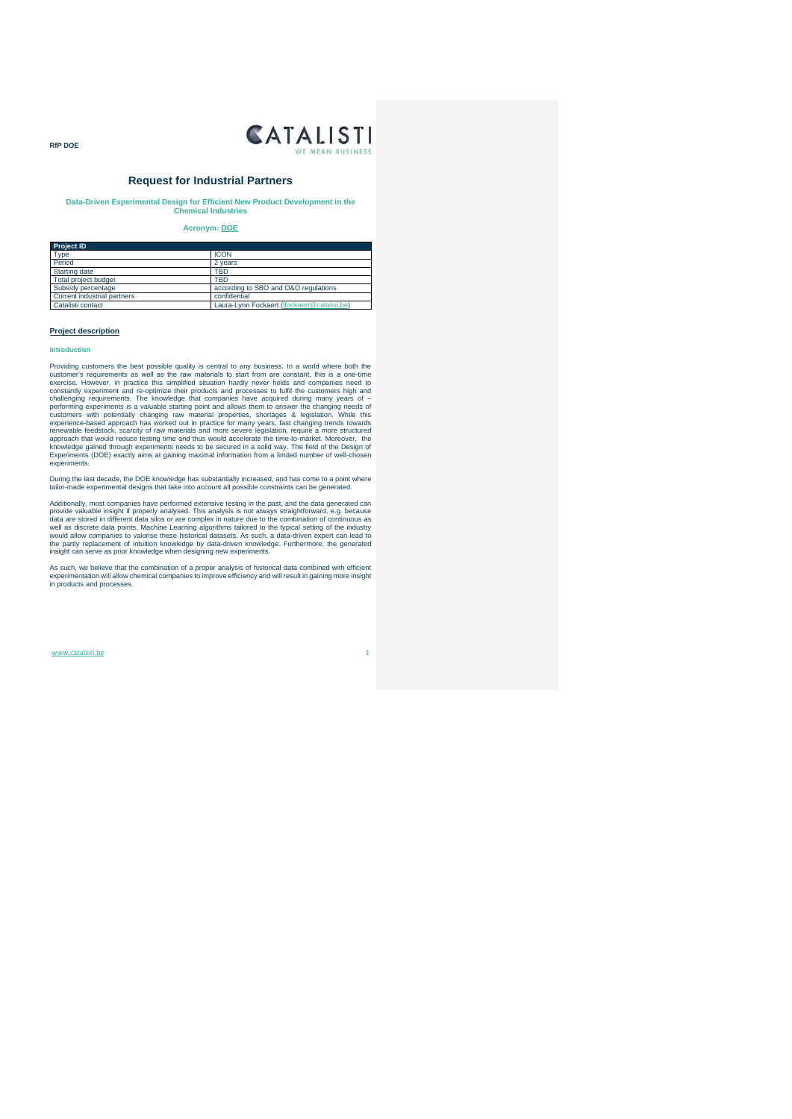

### **Request for Industrial Partners**

**Data-Driven Experimental Design for Efficient New Product Development in the Chemical Industries**

### **Acronym: DOE**

| <b>Project ID</b>           |                                             |
|-----------------------------|---------------------------------------------|
| <b>Type</b>                 | <b>ICON</b>                                 |
| Period                      | 2 years                                     |
| Starting date               | TBD                                         |
| Total project budget        | TBD                                         |
| Subsidy percentage          | according to SBO and O&O regulations        |
| Current industrial partners | confidential                                |
| Catalisti contact           | Laura-Lynn Fockaert (Ifockaert@catalisi.be) |

### **Project description**

### **Introduction**

**RfP DOE** 

Providing customers the best possible quality is central to any business. In a world where both the<br>customer's requirements as well as the raw materials to start from are constant, this is a one-time<br>exercise. However, in constantly experiment and re-optimize their products and processes to fulfil the customers high and chandlenging requirements. The knowledge that companies have acquired during many years of – performing experiments is a v

During the last decade, the DOE knowledge has substantially increased, and has come to a point where tailor-made experimental designs that take into account all possible constraints can be generated.

Additionally, most companies have performed extensive testing in the past, and the data generated can<br>provide valuable insight if properly analysed. This analysis is not always straightforward, e.g. because<br>data are stored

As such, we believe that the combination of a proper analysis of historical data combined with efficient experimentation will allow chemical companies to improve efficiency and will result in gaining more insight in products and processes.